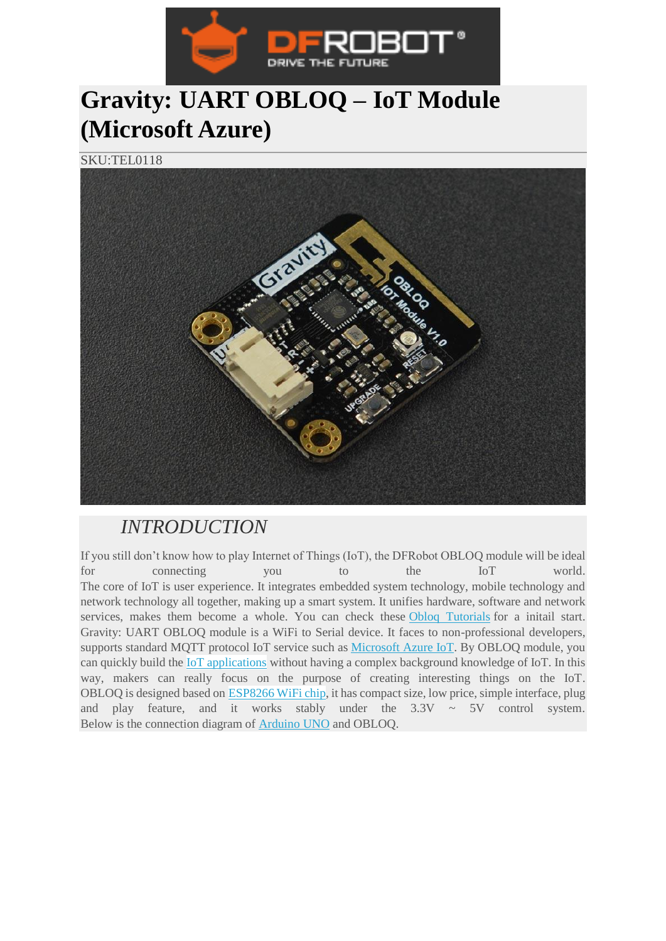

## **Gravity: UART OBLOQ – IoT Module (Microsoft Azure)**

SKU:TEL0118



## *INTRODUCTION*

If you still don't know how to play Internet of Things (IoT), the DFRobot OBLOQ module will be ideal for connecting you to the IoT world. The core of IoT is user experience. It integrates embedded system technology, mobile technology and network technology all together, making up a smart system. It unifies hardware, software and network services, makes them become a whole. You can check these [Obloq Tutorials](https://www.dfrobot.com/blog-tag-obloq.html) for a initail start. Gravity: UART OBLOQ module is a WiFi to Serial device. It faces to non-professional developers, supports standard MQTT protocol IoT service such as [Microsoft Azure IoT.](https://www.dfrobot.com/product-1616.html) By OBLOQ module, you can quickly build the [IoT applications](https://www.dfrobot.com/category-projects.html?search=IOT) without having a complex background knowledge of IoT. In this way, makers can really focus on the purpose of creating interesting things on the IoT. OBLOQ is designed based on [ESP8266 WiFi chip,](https://www.dfrobot.com/product-1279.html) it has compact size, low price, simple interface, plug and play feature, and it works stably under the  $3.3V \sim 5V$  control system. Below is the connection diagram of [Arduino UNO](https://www.dfrobot.com/product-838.html) and OBLOQ.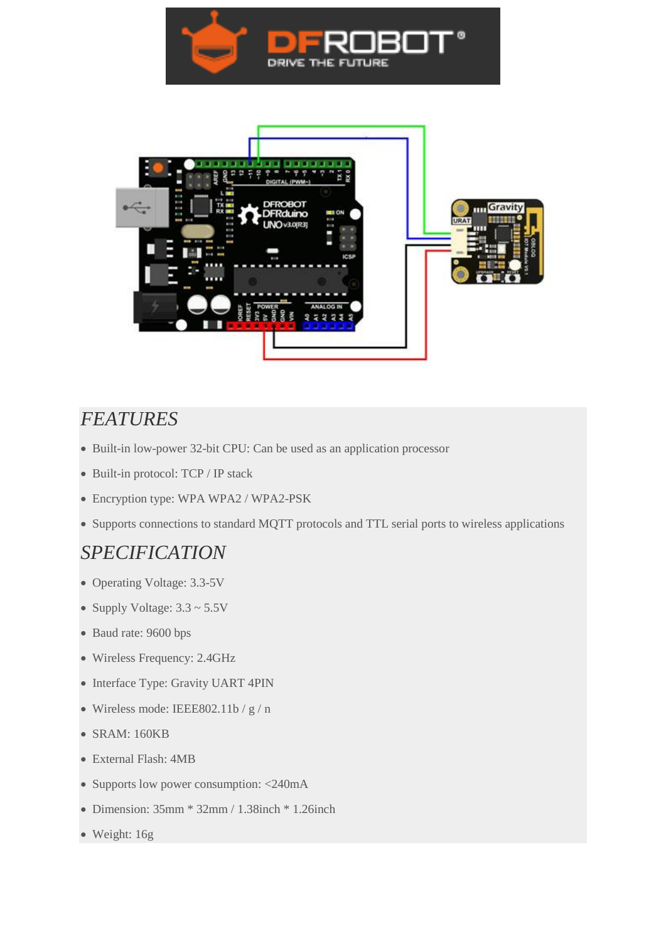



## *FEATURES*

- Built-in low-power 32-bit CPU: Can be used as an application processor
- Built-in protocol: TCP / IP stack
- Encryption type: WPA WPA2 / WPA2-PSK
- Supports connections to standard MQTT protocols and TTL serial ports to wireless applications

## *SPECIFICATION*

- Operating Voltage: 3.3-5V
- Supply Voltage:  $3.3 \sim 5.5V$
- Baud rate: 9600 bps
- Wireless Frequency: 2.4GHz
- Interface Type: Gravity UART 4PIN
- Wireless mode: IEEE802.11b / g / n
- SRAM: 160KB
- External Flash: 4MB
- Supports low power consumption: <240mA
- $\bullet$  Dimension: 35mm  $*$  32mm / 1.38inch  $*$  1.26inch
- Weight: 16g